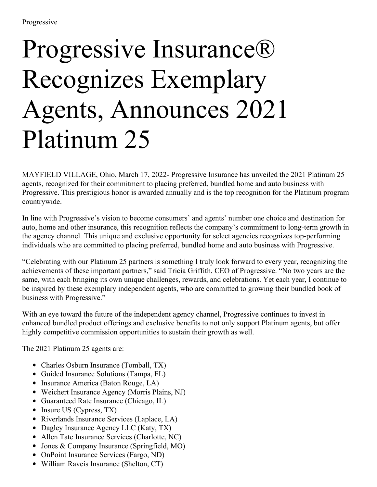## Progressive Insurance® Recognizes Exemplary Agents, Announces 2021 Platinum 25

MAYFIELD VILLAGE, Ohio, March 17, 2022- Progressive Insurance has unveiled the 2021 Platinum 25 agents, recognized for their commitment to placing preferred, bundled home and auto business with Progressive. This prestigious honor is awarded annually and is the top recognition for the Platinum program countrywide.

In line with Progressive's vision to become consumers' and agents' number one choice and destination for auto, home and other insurance, this recognition reflects the company's commitment to long-term growth in the agency channel. This unique and exclusive opportunity for select agencies recognizes top-performing individuals who are committed to placing preferred, bundled home and auto business with Progressive.

"Celebrating with our Platinum 25 partners is something I truly look forward to every year, recognizing the achievements of these important partners," said Tricia Griffith, CEO of Progressive. "No two years are the same, with each bringing its own unique challenges, rewards, and celebrations. Yet each year, I continue to be inspired by these exemplary independent agents, who are committed to growing their bundled book of business with Progressive."

With an eye toward the future of the independent agency channel, Progressive continues to invest in enhanced bundled product offerings and exclusive benefits to not only support Platinum agents, but offer highly competitive commission opportunities to sustain their growth as well.

The 2021 Platinum 25 agents are:

- Charles Osburn Insurance (Tomball, TX)
- Guided Insurance Solutions (Tampa, FL)
- Insurance America (Baton Rouge, LA)
- Weichert Insurance Agency (Morris Plains, NJ)
- Guaranteed Rate Insurance (Chicago, IL)
- $\bullet$  Insure US (Cypress, TX)
- Riverlands Insurance Services (Laplace, LA)
- Dagley Insurance Agency LLC (Katy, TX)
- Allen Tate Insurance Services (Charlotte, NC)
- Jones & Company Insurance (Springfield, MO)
- OnPoint Insurance Services (Fargo, ND)
- William Raveis Insurance (Shelton, CT)